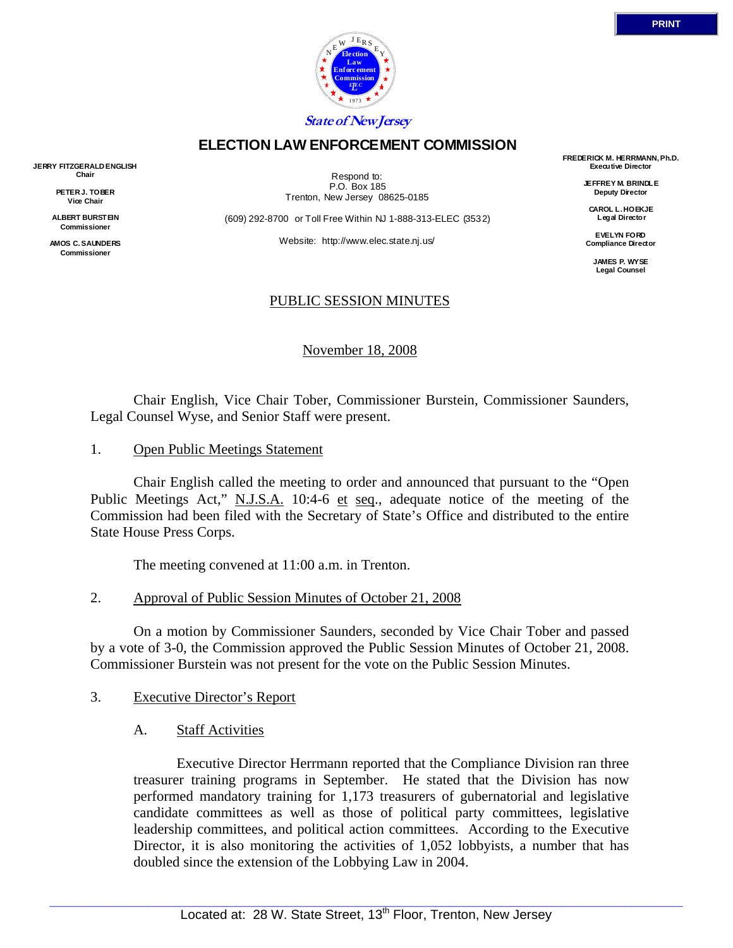

## **ELECTION LAW ENFORCEMENT COMMISSION**

**JERRY FITZGERALD ENGLISH Chair** 

> **PETER J. TOBER Vice Chair**

**ALBERT BURSTEIN Commissioner** 

**AMOS C. SAUNDERS Commissioner** 

Respond to: P.O. Box 185 Trenton, New Jersey 08625-0185

(609) 292-8700 or Toll Free Within NJ 1-888-313-ELEC (3532)

Website: http://www.elec.state.nj.us/

### PUBLIC SESSION MINUTES

November 18, 2008

 Chair English, Vice Chair Tober, Commissioner Burstein, Commissioner Saunders, Legal Counsel Wyse, and Senior Staff were present.

1. Open Public Meetings Statement

 Chair English called the meeting to order and announced that pursuant to the "Open Public Meetings Act," N.J.S.A. 10:4-6 et seq., adequate notice of the meeting of the Commission had been filed with the Secretary of State's Office and distributed to the entire State House Press Corps.

The meeting convened at 11:00 a.m. in Trenton.

2. Approval of Public Session Minutes of October 21, 2008

 On a motion by Commissioner Saunders, seconded by Vice Chair Tober and passed by a vote of 3-0, the Commission approved the Public Session Minutes of October 21, 2008. Commissioner Burstein was not present for the vote on the Public Session Minutes.

- 3. Executive Director's Report
	- A. Staff Activities

 Executive Director Herrmann reported that the Compliance Division ran three treasurer training programs in September. He stated that the Division has now performed mandatory training for 1,173 treasurers of gubernatorial and legislative candidate committees as well as those of political party committees, legislative leadership committees, and political action committees. According to the Executive Director, it is also monitoring the activities of 1,052 lobbyists, a number that has doubled since the extension of the Lobbying Law in 2004.

**FREDERICK M. HERRMANN, Ph.D. Executive Director JEFFREY M. BRINDLE Deputy Director CAROL L. HOEKJE Legal Director EVELYN FORD Compliance Director JAMES P. WYSE Legal Counsel**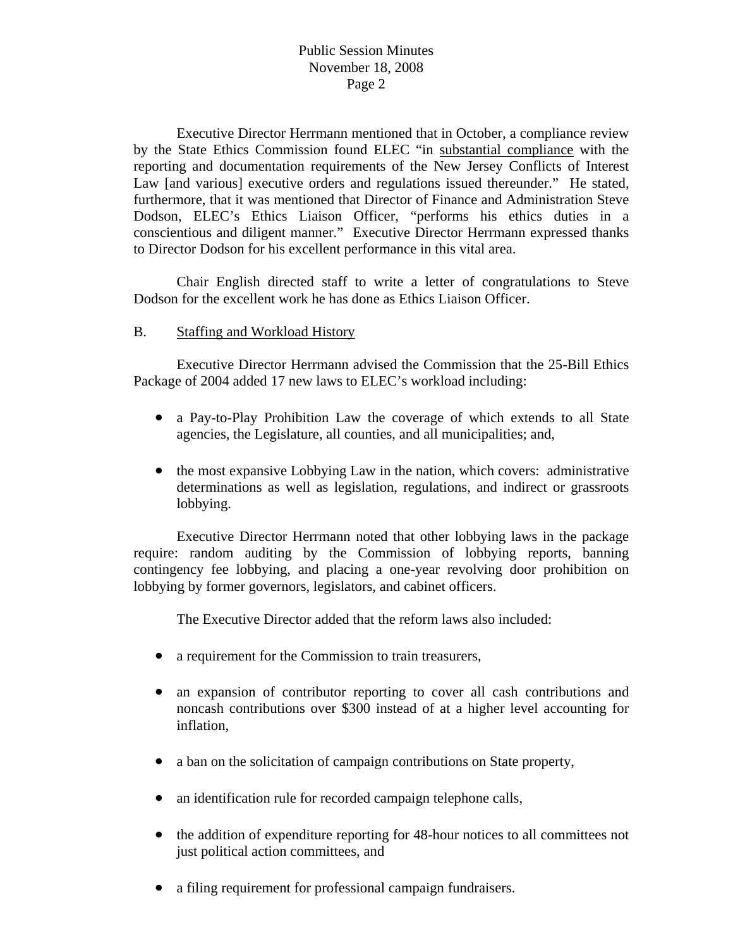Executive Director Herrmann mentioned that in October, a compliance review by the State Ethics Commission found ELEC "in substantial compliance with the reporting and documentation requirements of the New Jersey Conflicts of Interest Law [and various] executive orders and regulations issued thereunder." He stated, furthermore, that it was mentioned that Director of Finance and Administration Steve Dodson, ELEC's Ethics Liaison Officer, "performs his ethics duties in a conscientious and diligent manner." Executive Director Herrmann expressed thanks to Director Dodson for his excellent performance in this vital area.

 Chair English directed staff to write a letter of congratulations to Steve Dodson for the excellent work he has done as Ethics Liaison Officer.

#### B. Staffing and Workload History

 Executive Director Herrmann advised the Commission that the 25-Bill Ethics Package of 2004 added 17 new laws to ELEC's workload including:

- a Pay-to-Play Prohibition Law the coverage of which extends to all State agencies, the Legislature, all counties, and all municipalities; and,
- the most expansive Lobbying Law in the nation, which covers: administrative determinations as well as legislation, regulations, and indirect or grassroots lobbying.

 Executive Director Herrmann noted that other lobbying laws in the package require: random auditing by the Commission of lobbying reports, banning contingency fee lobbying, and placing a one-year revolving door prohibition on lobbying by former governors, legislators, and cabinet officers.

The Executive Director added that the reform laws also included:

- a requirement for the Commission to train treasurers,
- an expansion of contributor reporting to cover all cash contributions and noncash contributions over \$300 instead of at a higher level accounting for inflation,
- a ban on the solicitation of campaign contributions on State property,
- an identification rule for recorded campaign telephone calls,
- the addition of expenditure reporting for 48-hour notices to all committees not just political action committees, and
- a filing requirement for professional campaign fundraisers.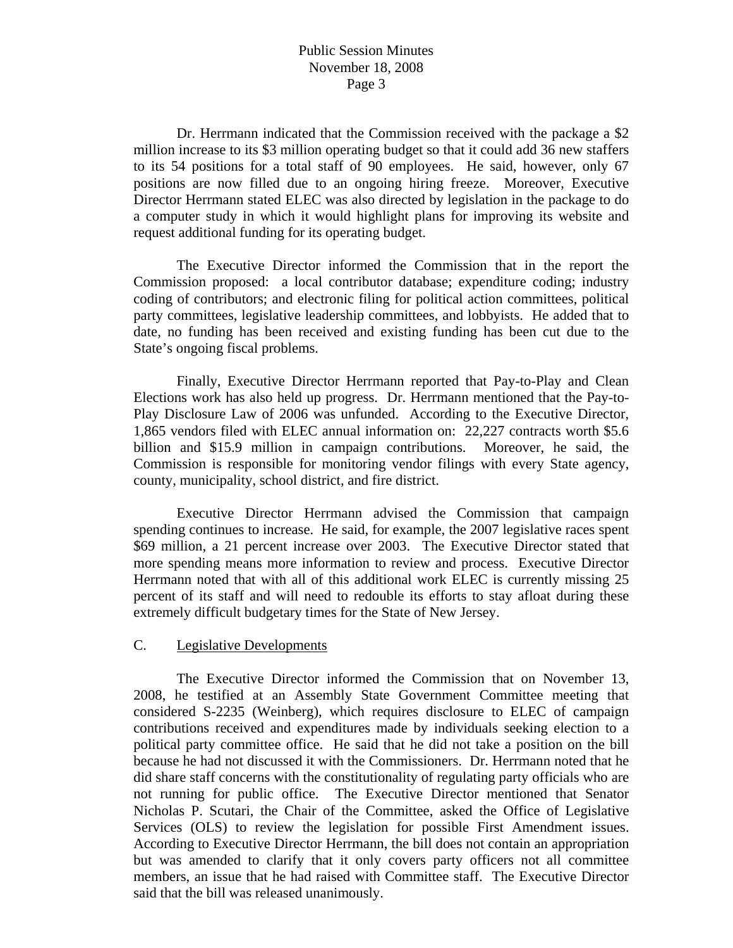Dr. Herrmann indicated that the Commission received with the package a \$2 million increase to its \$3 million operating budget so that it could add 36 new staffers to its 54 positions for a total staff of 90 employees. He said, however, only 67 positions are now filled due to an ongoing hiring freeze. Moreover, Executive Director Herrmann stated ELEC was also directed by legislation in the package to do a computer study in which it would highlight plans for improving its website and request additional funding for its operating budget.

 The Executive Director informed the Commission that in the report the Commission proposed: a local contributor database; expenditure coding; industry coding of contributors; and electronic filing for political action committees, political party committees, legislative leadership committees, and lobbyists. He added that to date, no funding has been received and existing funding has been cut due to the State's ongoing fiscal problems.

 Finally, Executive Director Herrmann reported that Pay-to-Play and Clean Elections work has also held up progress. Dr. Herrmann mentioned that the Pay-to-Play Disclosure Law of 2006 was unfunded. According to the Executive Director, 1,865 vendors filed with ELEC annual information on: 22,227 contracts worth \$5.6 billion and \$15.9 million in campaign contributions. Moreover, he said, the Commission is responsible for monitoring vendor filings with every State agency, county, municipality, school district, and fire district.

 Executive Director Herrmann advised the Commission that campaign spending continues to increase. He said, for example, the 2007 legislative races spent \$69 million, a 21 percent increase over 2003. The Executive Director stated that more spending means more information to review and process. Executive Director Herrmann noted that with all of this additional work ELEC is currently missing 25 percent of its staff and will need to redouble its efforts to stay afloat during these extremely difficult budgetary times for the State of New Jersey.

### C. Legislative Developments

 The Executive Director informed the Commission that on November 13, 2008, he testified at an Assembly State Government Committee meeting that considered S-2235 (Weinberg), which requires disclosure to ELEC of campaign contributions received and expenditures made by individuals seeking election to a political party committee office. He said that he did not take a position on the bill because he had not discussed it with the Commissioners. Dr. Herrmann noted that he did share staff concerns with the constitutionality of regulating party officials who are not running for public office. The Executive Director mentioned that Senator Nicholas P. Scutari, the Chair of the Committee, asked the Office of Legislative Services (OLS) to review the legislation for possible First Amendment issues. According to Executive Director Herrmann, the bill does not contain an appropriation but was amended to clarify that it only covers party officers not all committee members, an issue that he had raised with Committee staff. The Executive Director said that the bill was released unanimously.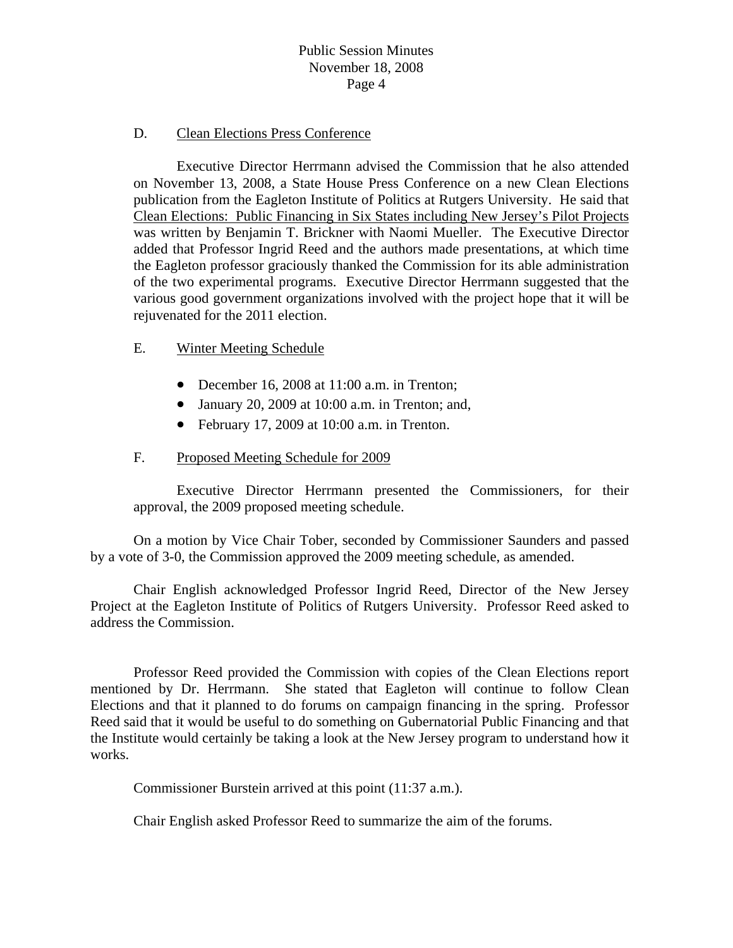#### D. Clean Elections Press Conference

 Executive Director Herrmann advised the Commission that he also attended on November 13, 2008, a State House Press Conference on a new Clean Elections publication from the Eagleton Institute of Politics at Rutgers University. He said that Clean Elections: Public Financing in Six States including New Jersey's Pilot Projects was written by Benjamin T. Brickner with Naomi Mueller. The Executive Director added that Professor Ingrid Reed and the authors made presentations, at which time the Eagleton professor graciously thanked the Commission for its able administration of the two experimental programs. Executive Director Herrmann suggested that the various good government organizations involved with the project hope that it will be rejuvenated for the 2011 election.

### E. Winter Meeting Schedule

- December 16, 2008 at 11:00 a.m. in Trenton;
- January 20, 2009 at 10:00 a.m. in Trenton; and,
- February 17, 2009 at 10:00 a.m. in Trenton.

### F. Proposed Meeting Schedule for 2009

Executive Director Herrmann presented the Commissioners, for their approval, the 2009 proposed meeting schedule.

 On a motion by Vice Chair Tober, seconded by Commissioner Saunders and passed by a vote of 3-0, the Commission approved the 2009 meeting schedule, as amended.

 Chair English acknowledged Professor Ingrid Reed, Director of the New Jersey Project at the Eagleton Institute of Politics of Rutgers University. Professor Reed asked to address the Commission.

 Professor Reed provided the Commission with copies of the Clean Elections report mentioned by Dr. Herrmann. She stated that Eagleton will continue to follow Clean Elections and that it planned to do forums on campaign financing in the spring. Professor Reed said that it would be useful to do something on Gubernatorial Public Financing and that the Institute would certainly be taking a look at the New Jersey program to understand how it works.

Commissioner Burstein arrived at this point (11:37 a.m.).

Chair English asked Professor Reed to summarize the aim of the forums.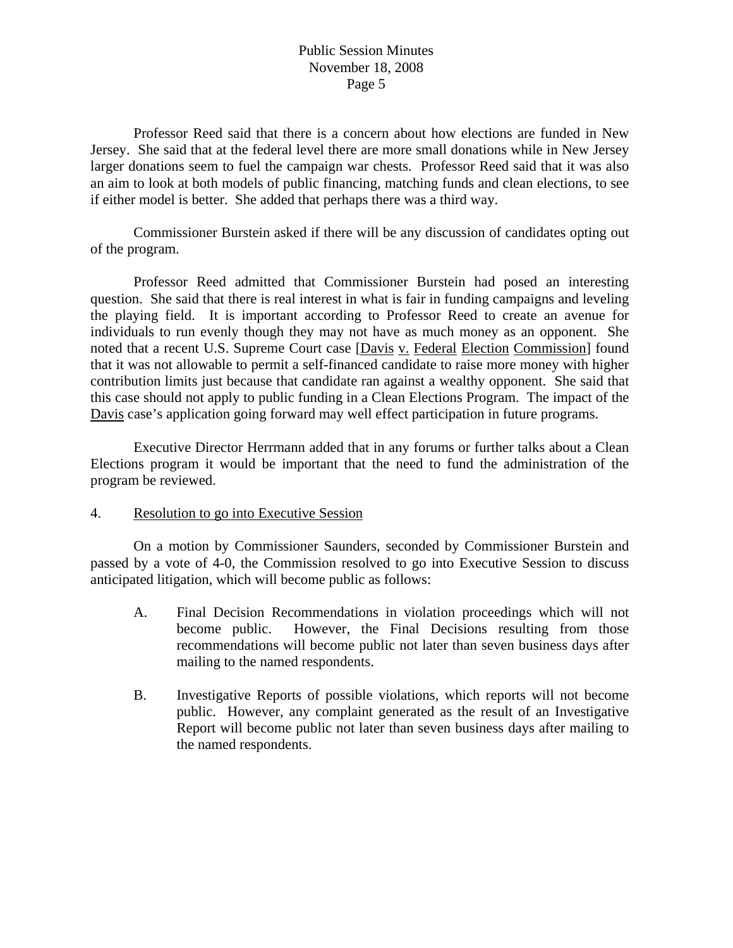Professor Reed said that there is a concern about how elections are funded in New Jersey. She said that at the federal level there are more small donations while in New Jersey larger donations seem to fuel the campaign war chests. Professor Reed said that it was also an aim to look at both models of public financing, matching funds and clean elections, to see if either model is better. She added that perhaps there was a third way.

 Commissioner Burstein asked if there will be any discussion of candidates opting out of the program.

 Professor Reed admitted that Commissioner Burstein had posed an interesting question. She said that there is real interest in what is fair in funding campaigns and leveling the playing field. It is important according to Professor Reed to create an avenue for individuals to run evenly though they may not have as much money as an opponent. She noted that a recent U.S. Supreme Court case [Davis v. Federal Election Commission] found that it was not allowable to permit a self-financed candidate to raise more money with higher contribution limits just because that candidate ran against a wealthy opponent. She said that this case should not apply to public funding in a Clean Elections Program. The impact of the Davis case's application going forward may well effect participation in future programs.

 Executive Director Herrmann added that in any forums or further talks about a Clean Elections program it would be important that the need to fund the administration of the program be reviewed.

### 4. Resolution to go into Executive Session

 On a motion by Commissioner Saunders, seconded by Commissioner Burstein and passed by a vote of 4-0, the Commission resolved to go into Executive Session to discuss anticipated litigation, which will become public as follows:

- A. Final Decision Recommendations in violation proceedings which will not become public. However, the Final Decisions resulting from those recommendations will become public not later than seven business days after mailing to the named respondents.
- B. Investigative Reports of possible violations, which reports will not become public. However, any complaint generated as the result of an Investigative Report will become public not later than seven business days after mailing to the named respondents.